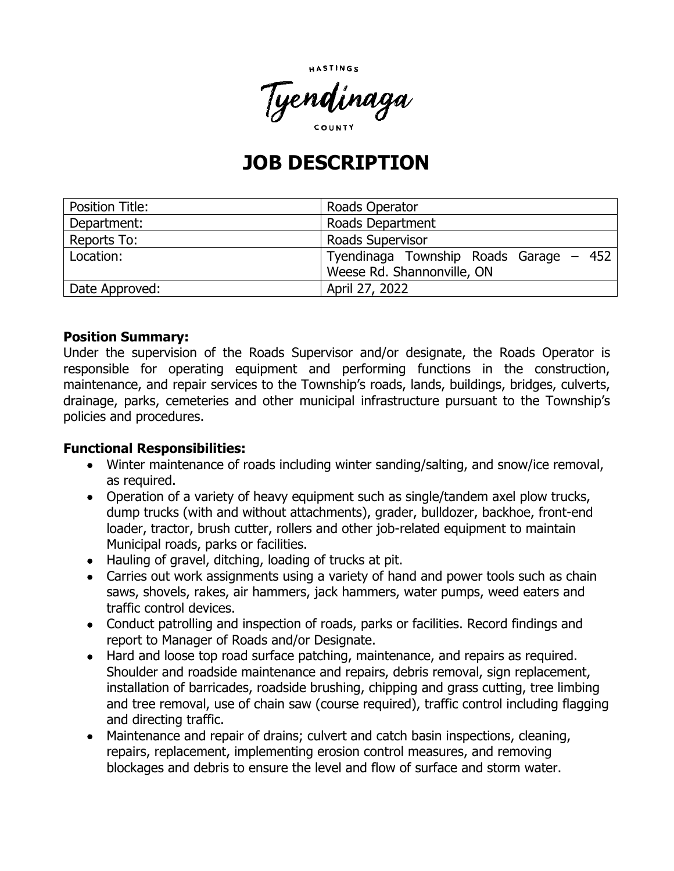



# **JOB DESCRIPTION**

| <b>Position Title:</b> | Roads Operator                                                       |
|------------------------|----------------------------------------------------------------------|
| Department:            | Roads Department                                                     |
| Reports To:            | <b>Roads Supervisor</b>                                              |
| Location:              | Tyendinaga Township Roads Garage – 452<br>Weese Rd. Shannonville, ON |
| Date Approved:         | April 27, 2022                                                       |

#### **Position Summary:**

Under the supervision of the Roads Supervisor and/or designate, the Roads Operator is responsible for operating equipment and performing functions in the construction, maintenance, and repair services to the Township's roads, lands, buildings, bridges, culverts, drainage, parks, cemeteries and other municipal infrastructure pursuant to the Township's policies and procedures.

## **Functional Responsibilities:**

- Winter maintenance of roads including winter sanding/salting, and snow/ice removal, as required.
- Operation of a variety of heavy equipment such as single/tandem axel plow trucks, dump trucks (with and without attachments), grader, bulldozer, backhoe, front-end loader, tractor, brush cutter, rollers and other job-related equipment to maintain Municipal roads, parks or facilities.
- Hauling of gravel, ditching, loading of trucks at pit.
- Carries out work assignments using a variety of hand and power tools such as chain saws, shovels, rakes, air hammers, jack hammers, water pumps, weed eaters and traffic control devices.
- Conduct patrolling and inspection of roads, parks or facilities. Record findings and report to Manager of Roads and/or Designate.
- Hard and loose top road surface patching, maintenance, and repairs as required. Shoulder and roadside maintenance and repairs, debris removal, sign replacement, installation of barricades, roadside brushing, chipping and grass cutting, tree limbing and tree removal, use of chain saw (course required), traffic control including flagging and directing traffic.
- Maintenance and repair of drains; culvert and catch basin inspections, cleaning, repairs, replacement, implementing erosion control measures, and removing blockages and debris to ensure the level and flow of surface and storm water.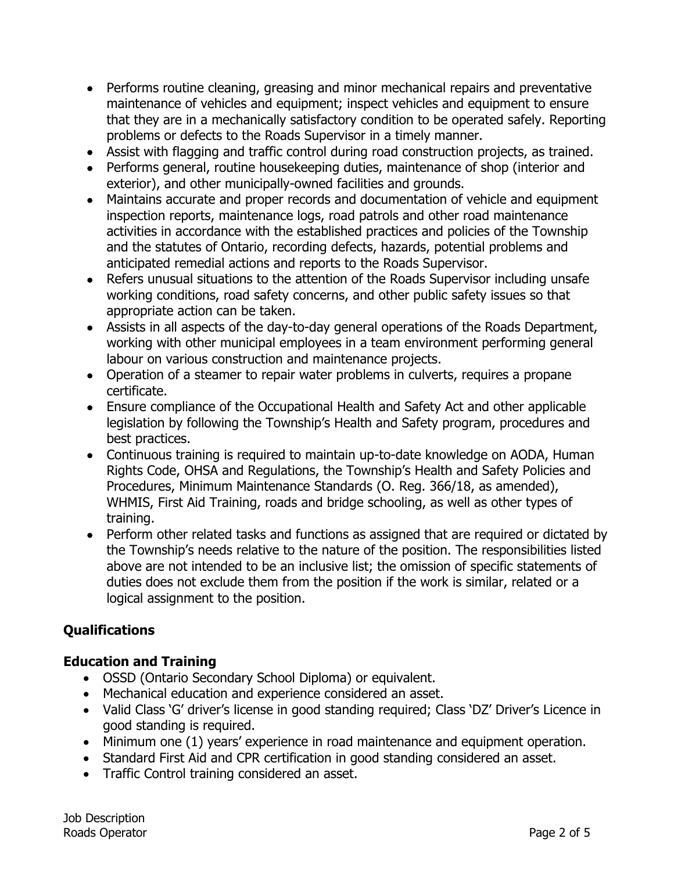- Performs routine cleaning, greasing and minor mechanical repairs and preventative maintenance of vehicles and equipment; inspect vehicles and equipment to ensure that they are in a mechanically satisfactory condition to be operated safely. Reporting problems or defects to the Roads Supervisor in a timely manner.
- Assist with flagging and traffic control during road construction projects, as trained.
- Performs general, routine housekeeping duties, maintenance of shop (interior and exterior), and other municipally-owned facilities and grounds.
- Maintains accurate and proper records and documentation of vehicle and equipment inspection reports, maintenance logs, road patrols and other road maintenance activities in accordance with the established practices and policies of the Township and the statutes of Ontario, recording defects, hazards, potential problems and anticipated remedial actions and reports to the Roads Supervisor.
- Refers unusual situations to the attention of the Roads Supervisor including unsafe working conditions, road safety concerns, and other public safety issues so that appropriate action can be taken.
- Assists in all aspects of the day-to-day general operations of the Roads Department, working with other municipal employees in a team environment performing general labour on various construction and maintenance projects.
- Operation of a steamer to repair water problems in culverts, requires a propane certificate.
- Ensure compliance of the Occupational Health and Safety Act and other applicable legislation by following the Township's Health and Safety program, procedures and best practices.
- Continuous training is required to maintain up-to-date knowledge on AODA, Human Rights Code, OHSA and Regulations, the Township's Health and Safety Policies and Procedures, Minimum Maintenance Standards (O. Reg. 366/18, as amended), WHMIS, First Aid Training, roads and bridge schooling, as well as other types of training.
- Perform other related tasks and functions as assigned that are required or dictated by the Township's needs relative to the nature of the position. The responsibilities listed above are not intended to be an inclusive list; the omission of specific statements of duties does not exclude them from the position if the work is similar, related or a logical assignment to the position.

# **Qualifications**

## **Education and Training**

- OSSD (Ontario Secondary School Diploma) or equivalent.
- Mechanical education and experience considered an asset.
- Valid Class 'G' driver's license in good standing required; Class 'DZ' Driver's Licence in good standing is required.
- Minimum one (1) years' experience in road maintenance and equipment operation.
- Standard First Aid and CPR certification in good standing considered an asset.
- Traffic Control training considered an asset.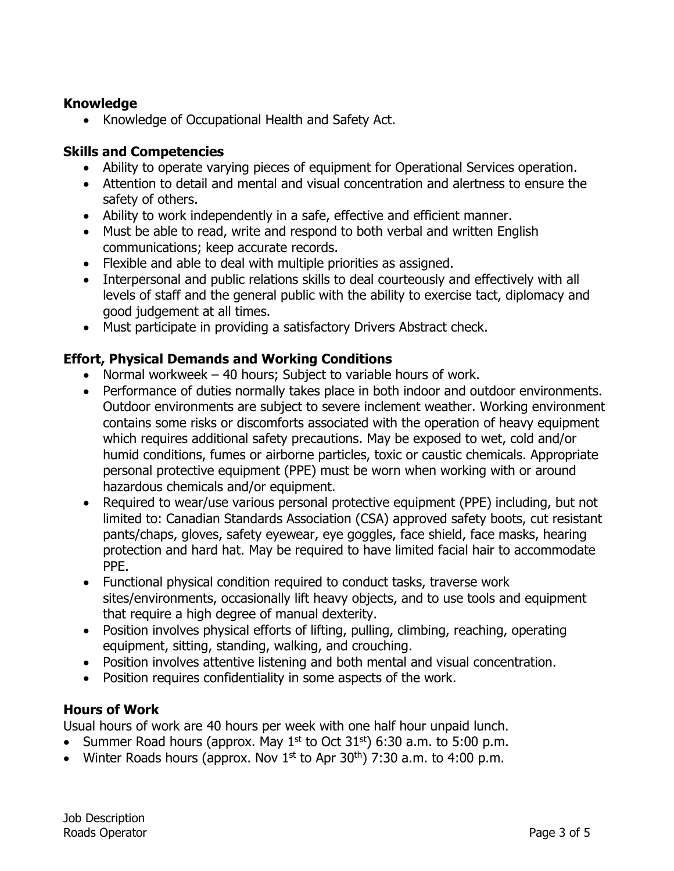## **Knowledge**

• Knowledge of Occupational Health and Safety Act.

#### **Skills and Competencies**

- Ability to operate varying pieces of equipment for Operational Services operation.
- Attention to detail and mental and visual concentration and alertness to ensure the safety of others.
- Ability to work independently in a safe, effective and efficient manner.
- Must be able to read, write and respond to both verbal and written English communications; keep accurate records.
- Flexible and able to deal with multiple priorities as assigned.
- Interpersonal and public relations skills to deal courteously and effectively with all levels of staff and the general public with the ability to exercise tact, diplomacy and good judgement at all times.
- Must participate in providing a satisfactory Drivers Abstract check.

## **Effort, Physical Demands and Working Conditions**

- Normal workweek 40 hours; Subject to variable hours of work.
- Performance of duties normally takes place in both indoor and outdoor environments. Outdoor environments are subject to severe inclement weather. Working environment contains some risks or discomforts associated with the operation of heavy equipment which requires additional safety precautions. May be exposed to wet, cold and/or humid conditions, fumes or airborne particles, toxic or caustic chemicals. Appropriate personal protective equipment (PPE) must be worn when working with or around hazardous chemicals and/or equipment.
- Required to wear/use various personal protective equipment (PPE) including, but not limited to: Canadian Standards Association (CSA) approved safety boots, cut resistant pants/chaps, gloves, safety eyewear, eye goggles, face shield, face masks, hearing protection and hard hat. May be required to have limited facial hair to accommodate PPE.
- Functional physical condition required to conduct tasks, traverse work sites/environments, occasionally lift heavy objects, and to use tools and equipment that require a high degree of manual dexterity.
- Position involves physical efforts of lifting, pulling, climbing, reaching, operating equipment, sitting, standing, walking, and crouching.
- Position involves attentive listening and both mental and visual concentration.
- Position requires confidentiality in some aspects of the work.

#### **Hours of Work**

Usual hours of work are 40 hours per week with one half hour unpaid lunch.

- Summer Road hours (approx. May  $1^{st}$  to Oct  $31^{st}$ ) 6:30 a.m. to 5:00 p.m.
- Winter Roads hours (approx. Nov  $1^{st}$  to Apr  $30^{th}$ ) 7:30 a.m. to 4:00 p.m.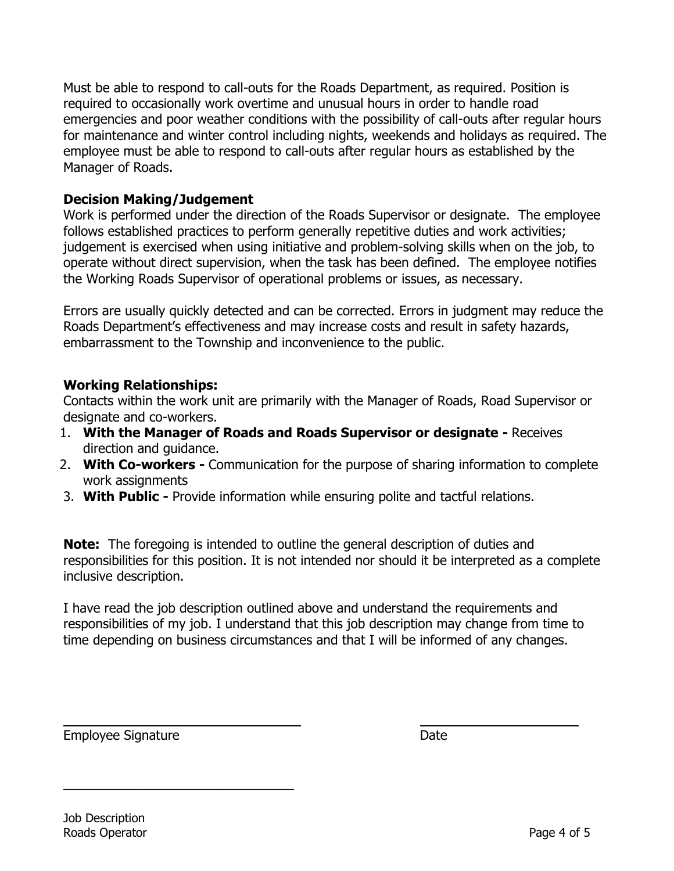Must be able to respond to call-outs for the Roads Department, as required. Position is required to occasionally work overtime and unusual hours in order to handle road emergencies and poor weather conditions with the possibility of call-outs after regular hours for maintenance and winter control including nights, weekends and holidays as required. The employee must be able to respond to call-outs after regular hours as established by the Manager of Roads.

## **Decision Making/Judgement**

Work is performed under the direction of the Roads Supervisor or designate. The employee follows established practices to perform generally repetitive duties and work activities; judgement is exercised when using initiative and problem-solving skills when on the job, to operate without direct supervision, when the task has been defined. The employee notifies the Working Roads Supervisor of operational problems or issues, as necessary.

Errors are usually quickly detected and can be corrected. Errors in judgment may reduce the Roads Department's effectiveness and may increase costs and result in safety hazards, embarrassment to the Township and inconvenience to the public.

## **Working Relationships:**

Contacts within the work unit are primarily with the Manager of Roads, Road Supervisor or designate and co-workers.

- 1. **With the Manager of Roads and Roads Supervisor or designate -** Receives direction and guidance.
- 2. **With Co-workers -** Communication for the purpose of sharing information to complete work assignments
- 3. **With Public -** Provide information while ensuring polite and tactful relations.

**Note:** The foregoing is intended to outline the general description of duties and responsibilities for this position. It is not intended nor should it be interpreted as a complete inclusive description.

I have read the job description outlined above and understand the requirements and responsibilities of my job. I understand that this job description may change from time to time depending on business circumstances and that I will be informed of any changes.

Employee Signature **Date** 

\_\_\_\_\_\_\_\_\_\_\_\_\_\_\_\_\_\_\_\_\_\_\_\_\_\_\_\_\_\_\_\_

Job Description Roads Operator **Page 4 of 5**